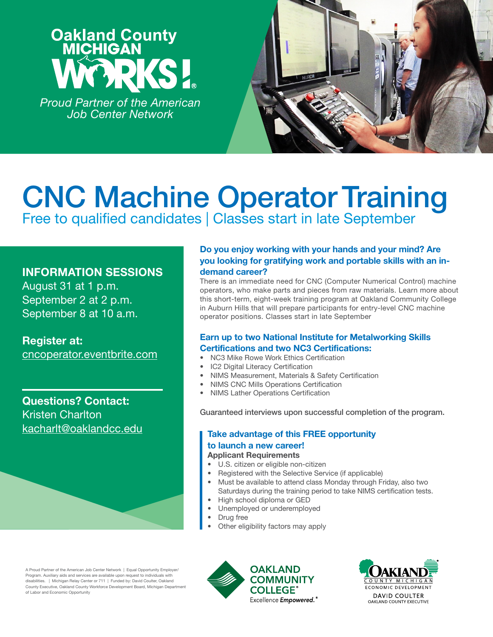# **Oakland County<br>MICHIGAN**

*Proud Partner of the American Job Center Network*



## CNC Machine Operator Training Free to qualified candidates | Classes start in late September

### INFORMATION SESSIONS

August 31 at 1 p.m. September 2 at 2 p.m. September 8 at 10 a.m.

Register at: [cncoperator.eventbrite.com](https://www.eventbrite.com/e/cnc-machine-operator-training-tickets-166061958789)

Questions? Contact: Kristen Charlton [kacharlt@oaklandcc.edu](mailto:kacharlt%40oaklandcc.edu?subject=)

#### Do you enjoy working with your hands and your mind? Are you looking for gratifying work and portable skills with an indemand career?

There is an immediate need for CNC (Computer Numerical Control) machine operators, who make parts and pieces from raw materials. Learn more about this short-term, eight-week training program at Oakland Community College in Auburn Hills that will prepare participants for entry-level CNC machine operator positions. Classes start in late September

### Earn up to two National Institute for Metalworking Skills Certifications and two NC3 Certifications:

- NC3 Mike Rowe Work Ethics Certification
- IC2 Digital Literacy Certification
- NIMS Measurement, Materials & Safety Certification
- NIMS CNC Mills Operations Certification
- NIMS Lather Operations Certification

Guaranteed interviews upon successful completion of the program.

### Take advantage of this FREE opportunity

#### to launch a new career!

#### Applicant Requirements

- U.S. citizen or eligible non-citizen
- Registered with the Selective Service (if applicable)
- Must be available to attend class Monday through Friday, also two Saturdays during the training period to take NIMS certification tests.
- High school diploma or GED
- Unemployed or underemployed
- Drug free
- Other eligibility factors may apply

A Proud Partner of the American Job Center Network | Equal Opportunity Employer/ Program. Auxiliary aids and services are available upon request to individuals with disabilities. | Michigan Relay Center or 711 | Funded by: David Coulter, Oakland County Executive, Oakland County Workforce Development Board, Michigan Department of Labor and Economic Opportunity